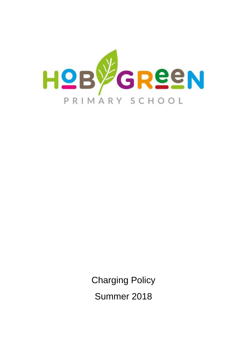

Charging Policy Summer 2018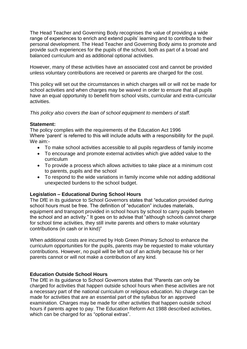The Head Teacher and Governing Body recognises the value of providing a wide range of experiences to enrich and extend pupils' learning and to contribute to their personal development. The Head Teacher and Governing Body aims to promote and provide such experiences for the pupils of the school, both as part of a broad and balanced curriculum and as additional optional activities.

However, many of these activities have an associated cost and cannot be provided unless voluntary contributions are received or parents are charged for the cost.

This policy will set out the circumstances in which charges will or will not be made for school activities and when charges may be waived in order to ensure that all pupils have an equal opportunity to benefit from school visits, curricular and extra-curricular activities.

*This policy also covers the loan of school equipment to members of staff.*

## **Statement:**

The policy complies with the requirements of the Education Act 1996 Where 'parent' is referred to this will include adults with a responsibility for the pupil. We aim:-

- To make school activities accessible to all pupils regardless of family income
- To encourage and promote external activities which give added value to the curriculum
- To provide a process which allows activities to take place at a minimum cost to parents, pupils and the school
- To respond to the wide variations in family income while not adding additional unexpected burdens to the school budget.

# **Legislation – Educational During School Hours**

The DfE in its guidance to School Governors states that "education provided during school hours must be free. The definition of "education" includes materials, equipment and transport provided in school hours by school to carry pupils between the school and an activity." It goes on to advise that "although schools cannot charge for school time activities, they still invite parents and others to make voluntary contributions (in cash or in kind)"

When additional costs are incurred by Hob Green Primary School to enhance the curriculum opportunities for the pupils, parents may be requested to make voluntary contributions. However, no pupil will be left out of an activity because his or her parents cannot or will not make a contribution of any kind.

# **Education Outside School Hours**

The DfE in its guidance to School Governors states that "Parents can only be charged for activities that happen outside school hours when these activities are not a necessary part of the national curriculum or religious education. No charge can be made for activities that are an essential part of the syllabus for an approved examination. Charges may be made for other activities that happen outside school hours if parents agree to pay. The Education Reform Act 1988 described activities, which can be charged for as "optional extras".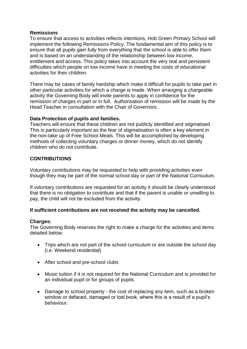## **Remissions**

To ensure that access to activities reflects intentions, Hob Green Primary School will implement the following Remissions Policy. The fundamental aim of this policy is to ensure that all pupils gain fully from everything that the school is able to offer them and is based on an understanding of the relationship between low income, entitlement and access. This policy takes into account the very real and persistent difficulties which people on low income have in meeting the costs of educational activities for their children.

There may be cases of family hardship which make it difficult for pupils to take part in other particular activities for which a charge is made. When arranging a chargeable activity the Governing Body will invite parents to apply in confidence for the remission of charges in part or in full. Authorisation of remission will be made by the Head Teacher in consultation with the Chair of Governors.

## **Data Protection of pupils and families.**

Teachers will ensure that these children are not publicly identified and stigmatised. This is particularly important as the fear of stigmatisation is often a key element in the non-take up of Free School Meals. This will be accomplished by developing methods of collecting voluntary charges or dinner money, which do not identify children who do not contribute.

## **CONTRIBUTIONS**

Voluntary contributions may be requested to help with providing activities even though they may be part of the normal school day or part of the National Curriculum.

If voluntary contributions are requested for an activity it should be clearly understood that there is no obligation to contribute and that if the parent is unable or unwilling to pay, the child will not be excluded from the activity.

### **If sufficient contributions are not received the activity may be cancelled.**

### **Charges:**

The Governing Body reserves the right to make a charge for the activities and items detailed below:

- Trips which are not part of the school curriculum or are outside the school day (i.e. Weekend residential)
- After school and pre-school clubs
- Music tuition if it is not required for the National Curriculum and is provided for an individual pupil or for groups of pupils.
- Damage to school property the cost of replacing any item, such as a broken window or defaced, damaged or lost book, where this is a result of a pupil's behaviour.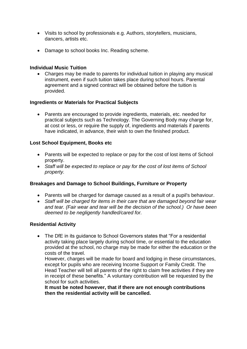- Visits to school by professionals e.g. Authors, storytellers, musicians, dancers, artists etc.
- Damage to school books Inc. Reading scheme.

### **Individual Music Tuition**

 Charges may be made to parents for individual tuition in playing any musical instrument, even if such tuition takes place during school hours. Parental agreement and a signed contract will be obtained before the tuition is provided.

## **Ingredients or Materials for Practical Subjects**

 Parents are encouraged to provide ingredients, materials, etc. needed for practical subjects such as Technology. The Governing Body may charge for, at cost or less, or require the supply of, ingredients and materials if parents have indicated, in advance, their wish to own the finished product.

# **Lost School Equipment, Books etc**

- Parents will be expected to replace or pay for the cost of lost items of School property.
- *Staff will be expected to replace or pay for the cost of lost items of School property.*

# **Breakages and Damage to School Buildings, Furniture or Property**

- Parents will be charged for damage caused as a result of a pupil's behaviour.
- *Staff will be charged for items in their care that are damaged beyond fair wear and tear. (Fair wear and tear will be the decision of the school.) Or have been deemed to be negligently handled/cared for.*

### **Residential Activity**

 The DfE in its guidance to School Governors states that "For a residential activity taking place largely during school time, or essential to the education provided at the school, no charge may be made for either the education or the costs of the travel.

However, charges will be made for board and lodging in these circumstances, except for pupils who are receiving Income Support or Family Credit. The Head Teacher will tell all parents of the right to claim free activities if they are in receipt of these benefits." A voluntary contribution will be requested by the school for such activities.

**It must be noted however, that if there are not enough contributions then the residential activity will be cancelled.**